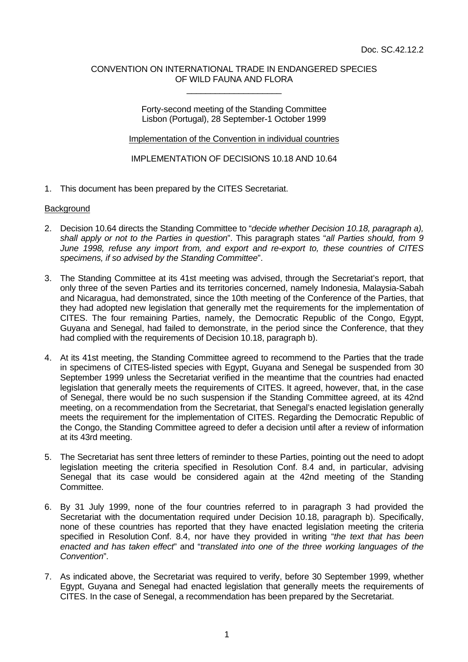### CONVENTION ON INTERNATIONAL TRADE IN ENDANGERED SPECIES OF WILD FAUNA AND FLORA \_\_\_\_\_\_\_\_\_\_\_\_\_\_\_\_\_\_\_\_

Forty-second meeting of the Standing Committee Lisbon (Portugal), 28 September-1 October 1999

Implementation of the Convention in individual countries

IMPLEMENTATION OF DECISIONS 10.18 AND 10.64

1. This document has been prepared by the CITES Secretariat.

### **Background**

- 2. Decision 10.64 directs the Standing Committee to "*decide whether Decision 10.18, paragraph a), shall apply or not to the Parties in question*". This paragraph states "*all Parties should, from 9 June 1998, refuse any import from, and export and re-export to, these countries of CITES specimens, if so advised by the Standing Committee*".
- 3. The Standing Committee at its 41st meeting was advised, through the Secretariat's report, that only three of the seven Parties and its territories concerned, namely Indonesia, Malaysia-Sabah and Nicaragua, had demonstrated, since the 10th meeting of the Conference of the Parties, that they had adopted new legislation that generally met the requirements for the implementation of CITES. The four remaining Parties, namely, the Democratic Republic of the Congo, Egypt, Guyana and Senegal, had failed to demonstrate, in the period since the Conference, that they had complied with the requirements of Decision 10.18, paragraph b).
- 4. At its 41st meeting, the Standing Committee agreed to recommend to the Parties that the trade in specimens of CITES-listed species with Egypt, Guyana and Senegal be suspended from 30 September 1999 unless the Secretariat verified in the meantime that the countries had enacted legislation that generally meets the requirements of CITES. It agreed, however, that, in the case of Senegal, there would be no such suspension if the Standing Committee agreed, at its 42nd meeting, on a recommendation from the Secretariat, that Senegal's enacted legislation generally meets the requirement for the implementation of CITES. Regarding the Democratic Republic of the Congo, the Standing Committee agreed to defer a decision until after a review of information at its 43rd meeting.
- 5. The Secretariat has sent three letters of reminder to these Parties, pointing out the need to adopt legislation meeting the criteria specified in Resolution Conf. 8.4 and, in particular, advising Senegal that its case would be considered again at the 42nd meeting of the Standing Committee.
- 6. By 31 July 1999, none of the four countries referred to in paragraph 3 had provided the Secretariat with the documentation required under Decision 10.18, paragraph b). Specifically, none of these countries has reported that they have enacted legislation meeting the criteria specified in Resolution Conf. 8.4, nor have they provided in writing "*the text that has been enacted and has taken effect*" and "*translated into one of the three working languages of the Convention*".
- 7. As indicated above, the Secretariat was required to verify, before 30 September 1999, whether Egypt, Guyana and Senegal had enacted legislation that generally meets the requirements of CITES. In the case of Senegal, a recommendation has been prepared by the Secretariat.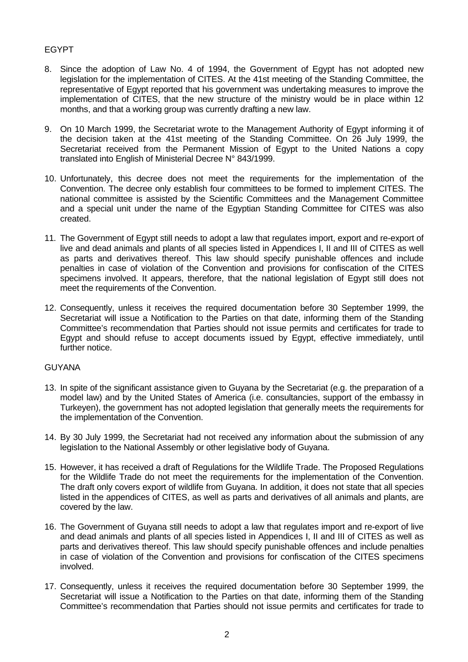# EGYPT

- 8. Since the adoption of Law No. 4 of 1994, the Government of Egypt has not adopted new legislation for the implementation of CITES. At the 41st meeting of the Standing Committee, the representative of Egypt reported that his government was undertaking measures to improve the implementation of CITES, that the new structure of the ministry would be in place within 12 months, and that a working group was currently drafting a new law.
- 9. On 10 March 1999, the Secretariat wrote to the Management Authority of Egypt informing it of the decision taken at the 41st meeting of the Standing Committee. On 26 July 1999, the Secretariat received from the Permanent Mission of Egypt to the United Nations a copy translated into English of Ministerial Decree N° 843/1999.
- 10. Unfortunately, this decree does not meet the requirements for the implementation of the Convention. The decree only establish four committees to be formed to implement CITES. The national committee is assisted by the Scientific Committees and the Management Committee and a special unit under the name of the Egyptian Standing Committee for CITES was also created.
- 11. The Government of Egypt still needs to adopt a law that regulates import, export and re-export of live and dead animals and plants of all species listed in Appendices I, II and III of CITES as well as parts and derivatives thereof. This law should specify punishable offences and include penalties in case of violation of the Convention and provisions for confiscation of the CITES specimens involved. It appears, therefore, that the national legislation of Egypt still does not meet the requirements of the Convention.
- 12. Consequently, unless it receives the required documentation before 30 September 1999, the Secretariat will issue a Notification to the Parties on that date, informing them of the Standing Committee's recommendation that Parties should not issue permits and certificates for trade to Egypt and should refuse to accept documents issued by Egypt, effective immediately, until further notice.

## GUYANA

- 13. In spite of the significant assistance given to Guyana by the Secretariat (e.g. the preparation of a model law) and by the United States of America (i.e. consultancies, support of the embassy in Turkeyen), the government has not adopted legislation that generally meets the requirements for the implementation of the Convention.
- 14. By 30 July 1999, the Secretariat had not received any information about the submission of any legislation to the National Assembly or other legislative body of Guyana.
- 15. However, it has received a draft of Regulations for the Wildlife Trade. The Proposed Regulations for the Wildlife Trade do not meet the requirements for the implementation of the Convention. The draft only covers export of wildlife from Guyana. In addition, it does not state that all species listed in the appendices of CITES, as well as parts and derivatives of all animals and plants, are covered by the law.
- 16. The Government of Guyana still needs to adopt a law that regulates import and re-export of live and dead animals and plants of all species listed in Appendices I, II and III of CITES as well as parts and derivatives thereof. This law should specify punishable offences and include penalties in case of violation of the Convention and provisions for confiscation of the CITES specimens involved.
- 17. Consequently, unless it receives the required documentation before 30 September 1999, the Secretariat will issue a Notification to the Parties on that date, informing them of the Standing Committee's recommendation that Parties should not issue permits and certificates for trade to